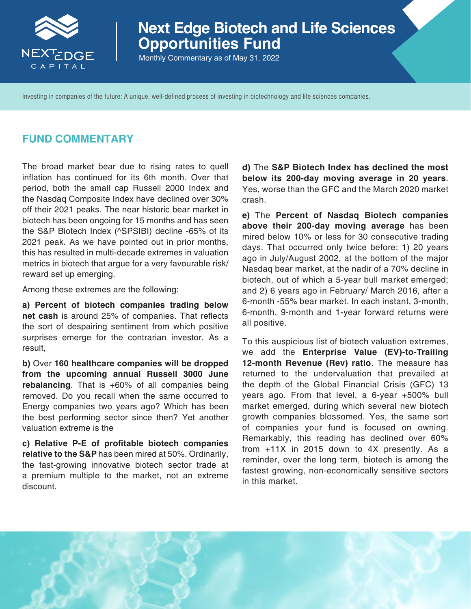

# **Next Edge Biotech and Life Sciences Opportunities Fund**

Monthly Commentary as of May 31, 2022

Investing in companies of the future: A unique, well-defined process of investing in biotechnology and life sciences companies.

### **FUND COMMENTARY**

The broad market bear due to rising rates to quell inflation has continued for its 6th month. Over that period, both the small cap Russell 2000 Index and the Nasdaq Composite Index have declined over 30% off their 2021 peaks. The near historic bear market in biotech has been ongoing for 15 months and has seen the S&P Biotech Index (^SPSIBI) decline -65% of its 2021 peak. As we have pointed out in prior months, this has resulted in multi-decade extremes in valuation metrics in biotech that argue for a very favourable risk/ reward set up emerging.

Among these extremes are the following:

**a) Percent of biotech companies trading below net cash** is around 25% of companies. That reflects the sort of despairing sentiment from which positive surprises emerge for the contrarian investor. As a result,

**b)** Over **160 healthcare companies will be dropped from the upcoming annual Russell 3000 June rebalancing**. That is +60% of all companies being removed. Do you recall when the same occurred to Energy companies two years ago? Which has been the best performing sector since then? Yet another valuation extreme is the

**c) Relative P-E of profitable biotech companies relative to the S&P** has been mired at 50%. Ordinarily, the fast-growing innovative biotech sector trade at a premium multiple to the market, not an extreme discount.

**d)** The **S&P Biotech Index has declined the most below its 200-day moving average in 20 years**. Yes, worse than the GFC and the March 2020 market crash.

**e)** The **Percent of Nasdaq Biotech companies above their 200-day moving average** has been mired below 10% or less for 30 consecutive trading days. That occurred only twice before: 1) 20 years ago in July/August 2002, at the bottom of the major Nasdaq bear market, at the nadir of a 70% decline in biotech, out of which a 5-year bull market emerged; and 2) 6 years ago in February/ March 2016, after a 6-month -55% bear market. In each instant, 3-month, 6-month, 9-month and 1-year forward returns were all positive.

To this auspicious list of biotech valuation extremes, we add the **Enterprise Value (EV)-to-Trailing 12-month Revenue (Rev) ratio**. The measure has returned to the undervaluation that prevailed at the depth of the Global Financial Crisis (GFC) 13 years ago. From that level, a 6-year +500% bull market emerged, during which several new biotech growth companies blossomed. Yes, the same sort of companies your fund is focused on owning. Remarkably, this reading has declined over 60% from +11X in 2015 down to 4X presently. As a reminder, over the long term, biotech is among the fastest growing, non-economically sensitive sectors in this market.

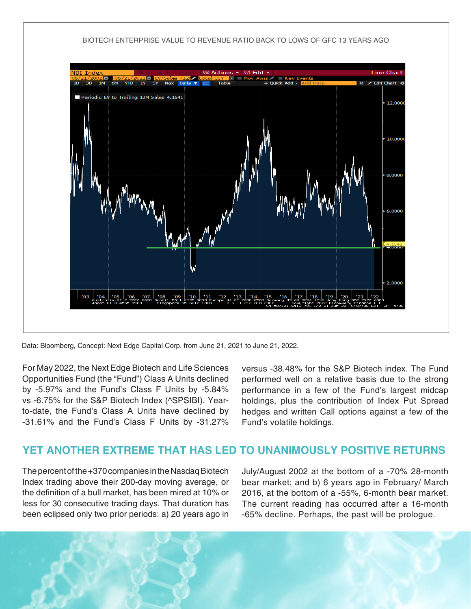

Data: Bloomberg, Concept: Next Edge Capital Corp. from June 21, 2021 to June 21, 2022.

For May 2022, the Next Edge Biotech and Life Sciences Opportunities Fund (the "Fund") Class A Units declined by -5.97% and the Fund's Class F Units by -5.84% vs -6.75% for the S&P Biotech Index (^SPSIBI). Yearto-date, the Fund's Class A Units have declined by -31.61% and the Fund's Class F Units by -31.27%

versus -38.48% for the S&P Biotech index. The Fund performed well on a relative basis due to the strong performance in a few of the Fund's largest midcap holdings, plus the contribution of Index Put Spread hedges and written Call options against a few of the Fund's volatile holdings.

# **YET ANOTHER EXTREME THAT HAS LED TO UNANIMOUSLY POSITIVE RETURNS**

The percent of the +370 companies in the Nasdaq Biotech Index trading above their 200-day moving average, or the definition of a bull market, has been mired at 10% or less for 30 consecutive trading days. That duration has been eclipsed only two prior periods: a) 20 years ago in July/August 2002 at the bottom of a -70% 28-month bear market; and b) 6 years ago in February/ March 2016, at the bottom of a -55%, 6-month bear market. The current reading has occurred after a 16-month -65% decline. Perhaps, the past will be prologue.

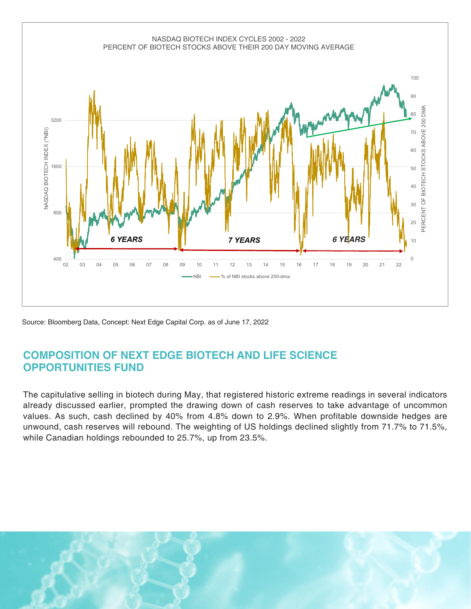

Source: Bloomberg Data, Concept: Next Edge Capital Corp. as of June 17, 2022

# **COMPOSITION OF NEXT EDGE BIOTECH AND LIFE SCIENCE OPPORTUNITIES FUND**

The capitulative selling in biotech during May, that registered historic extreme readings in several indicators already discussed earlier, prompted the drawing down of cash reserves to take advantage of uncommon values. As such, cash declined by 40% from 4.8% down to 2.9%. When profitable downside hedges are unwound, cash reserves will rebound. The weighting of US holdings declined slightly from 71.7% to 71.5%, while Canadian holdings rebounded to 25.7%, up from 23.5%.

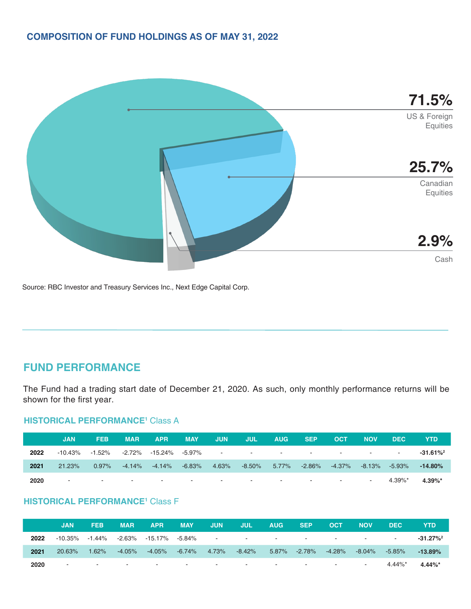

Source: RBC Investor and Treasury Services Inc., Next Edge Capital Corp.

# **FUND PERFORMANCE**

The Fund had a trading start date of December 21, 2020. As such, only monthly performance returns will be shown for the first year.

### **HISTORICAL PERFORMANCE<sup>1</sup> Class A**

|      | JAN    | <b>FEB</b> | <b>MAR</b> | <b>APR</b>                                                                 | <b>MAY</b> | <b>JUN</b> | <b>JUL</b> | <b>AUG</b> | <b>SEP</b> | <b>OCT</b> | <b>NOV</b> | <b>DEC</b>    | YTD          |
|------|--------|------------|------------|----------------------------------------------------------------------------|------------|------------|------------|------------|------------|------------|------------|---------------|--------------|
| 2022 |        |            |            |                                                                            |            |            |            |            |            |            |            |               | $-31.61\%^2$ |
| 2021 | 21.23% | $0.97\%$   |            | $-4.14\%$ $-4.14\%$ $-6.83\%$                                              |            | $-4.63%$   | $-8.50\%$  |            |            |            |            | -8.13% -5.93% | $-14.80\%$   |
| 2020 |        |            |            | 4. 이 사이 아이들은 이 사이를 하는 것이 아니라 이 사이를 하는 것이 아니라 이 사이를 하는 것이 아니라 이 사이를 하는 것이다. |            |            |            |            |            |            | $\sim$     | $4.39\%$ *    | $4.39\%$ *   |

#### **HISTORICAL PERFORMANCE1** Class F

|      | <b>JAN</b> | <b>FEB</b> | <b>MAR</b> | <b>APR</b>                                          | <b>MAY</b>                             | <b>JUN</b> | <b>JUL</b>                                                                                                     | <b>AUG</b> | SEP | <b>OCT</b>    | <b>NOV</b> | <b>DEC</b>          | YTD                     |
|------|------------|------------|------------|-----------------------------------------------------|----------------------------------------|------------|----------------------------------------------------------------------------------------------------------------|------------|-----|---------------|------------|---------------------|-------------------------|
| 2022 |            |            |            | $-10.35\%$ $-1.44\%$ $-2.63\%$ $-15.17\%$ $-5.84\%$ |                                        |            | 100 April 2014 12:00 April 2014 12:00 April 2014 12:00 April 2014 12:00 April 2014 12:00 April 2014 12:00 Apri |            |     |               |            |                     | $-31.27\%$ <sup>2</sup> |
| 2021 | 20.63%     | $1.62\%$   | -4.05%     |                                                     | $-4.05\%$ $-6.74\%$ $4.73\%$ $-8.42\%$ |            |                                                                                                                | 5.87%      |     | -2.78% -4.28% |            | $-8.04\%$ $-5.85\%$ | $-13.89\%$              |
| 2020 |            |            |            |                                                     |                                        |            |                                                                                                                |            |     |               |            | $4.44\%$ *          | $4.44\%$ *              |